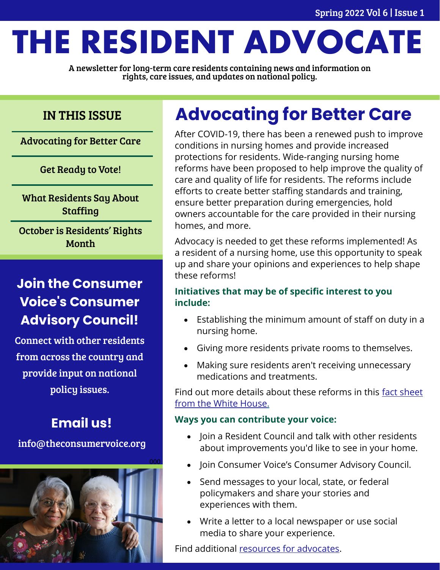# **THE RESIDENT ADVOCATE**

A newsletter for long-term care residents containing news and information on rights, care issues, and updates on national policy.

### IN THIS ISSUE

Advocating for Better Care

Get Ready to Vote!

What Residents Say About **Staffing** 

October is Residents' Rights Month

### **Join the Consumer Voice's Consumer Advisory Council!**

Connect with other residents from across the country and provide input on national policy issues.

### **Email us!**

info@theconsumervoice.org



## **Advocating for Better Care**

After COVID-19, there has been a renewed push to improve conditions in nursing homes and provide increased protections for residents. Wide-ranging nursing home reforms have been proposed to help improve the quality of care and quality of life for residents. The reforms include efforts to create better staffing standards and training, ensure better preparation during emergencies, hold owners accountable for the care provided in their nursing homes, and more.

Advocacy is needed to get these reforms implemented! As a resident of a nursing home, use this opportunity to speak up and share your opinions and experiences to help shape these reforms!

#### **Initiatives that may be of specific interest to you include:**

- Establishing the minimum amount of staff on duty in a nursing home.
- Giving more residents private rooms to themselves.
- Making sure residents aren't receiving unnecessary medications and treatments.

Find out more details about these reforms in this [fact sheet](https://www.whitehouse.gov/briefing-room/statements-releases/2022/02/28/fact-sheet-protecting-seniors-and-people-with-disabilities-by-improving-safety-and-quality-of-care-in-the-nations-nursing-homes/)  [from the White House.](https://www.whitehouse.gov/briefing-room/statements-releases/2022/02/28/fact-sheet-protecting-seniors-and-people-with-disabilities-by-improving-safety-and-quality-of-care-in-the-nations-nursing-homes/)

#### **Ways you can contribute your voice:**

- Join a Resident Council and talk with other residents about improvements you'd like to see in your home.
- Join Consumer Voice's Consumer Advisory Council.
- Send messages to your local, state, or federal policymakers and share your stories and experiences with them.
- Write a letter to a local newspaper or use social media to share your experience.

Find additional [resources for advocates.](https://theconsumervoice.org/issues/for-advocates)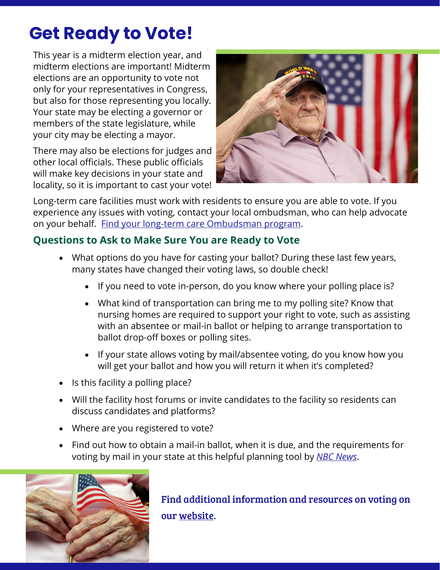## **Get Ready to Vote!**

This year is a midterm election year, and midterm elections are important! Midterm elections are an opportunity to vote not only for your representatives in Congress, but also for those representing you locally. Your state may be electing a governor or members of the state legislature, while your city may be electing a mayor.

There may also be elections for judges and other local officials. These public officials will make key decisions in your state and locality, so it is important to cast your vote!



Long-term care facilities must work with residents to ensure you are able to vote. If you experience any issues with voting, contact your local ombudsman, who can help advocate on your behalf. Find your long-[term care Ombudsman program.](https://theconsumervoice.org/get_help)

#### **Questions to Ask to Make Sure You are Ready to Vote**

- What options do you have for casting your ballot? During these last few years, many states have changed their voting laws, so double check!
	- If you need to vote in-person, do you know where your polling place is?
	- What kind of transportation can bring me to my polling site? Know that nursing homes are required to support your right to vote, such as assisting with an absentee or mail-in ballot or helping to arrange transportation to ballot drop-off boxes or polling sites.
	- If your state allows voting by mail/absentee voting, do you know how you will get your ballot and how you will return it when it's completed?
- Is this facility a polling place?
- Will the facility host forums or invite candidates to the facility so residents can discuss candidates and platforms?
- Where are you registered to vote?
- Find out how to obtain a mail-in ballot, when it is due, and the requirements for voting by mail in your state at this helpful planning tool by *[NBC News](https://www.nbcnews.com/specials/plan-your-vote-2022-elections/index.html?language=english&state=MD)*.



Find additional information and resources on voting on our [website.](https://theconsumervoice.org/issues/other-issues-and-resources/voting-rights)